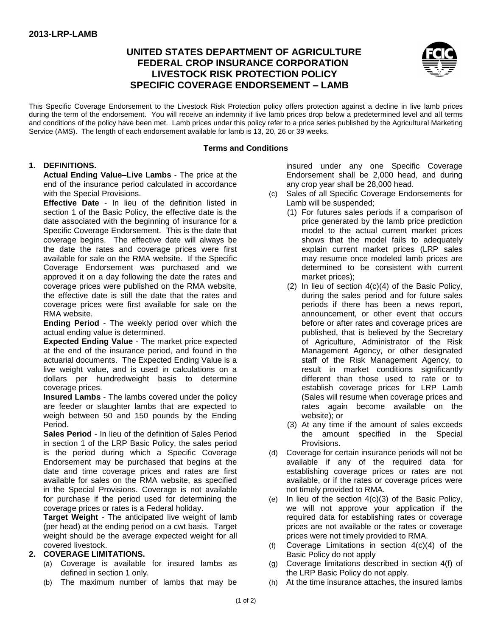# **UNITED STATES DEPARTMENT OF AGRICULTURE FEDERAL CROP INSURANCE CORPORATION LIVESTOCK RISK PROTECTION POLICY SPECIFIC COVERAGE ENDORSEMENT – LAMB**



This Specific Coverage Endorsement to the Livestock Risk Protection policy offers protection against a decline in live lamb prices during the term of the endorsement. You will receive an indemnity if live lamb prices drop below a predetermined level and all terms and conditions of the policy have been met. Lamb prices under this policy refer to a price series published by the Agricultural Marketing Service (AMS). The length of each endorsement available for lamb is 13, 20, 26 or 39 weeks.

#### **Terms and Conditions**

#### **1. DEFINITIONS.**

**Actual Ending Value–Live Lambs** - The price at the end of the insurance period calculated in accordance with the Special Provisions.

**Effective Date** - In lieu of the definition listed in section 1 of the Basic Policy, the effective date is the date associated with the beginning of insurance for a Specific Coverage Endorsement. This is the date that coverage begins. The effective date will always be the date the rates and coverage prices were first available for sale on the RMA website. If the Specific Coverage Endorsement was purchased and we approved it on a day following the date the rates and coverage prices were published on the RMA website, the effective date is still the date that the rates and coverage prices were first available for sale on the RMA website.

**Ending Period** - The weekly period over which the actual ending value is determined.

**Expected Ending Value** - The market price expected at the end of the insurance period, and found in the actuarial documents. The Expected Ending Value is a live weight value, and is used in calculations on a dollars per hundredweight basis to determine coverage prices.

**Insured Lambs** - The lambs covered under the policy are feeder or slaughter lambs that are expected to weigh between 50 and 150 pounds by the Ending Period.

**Sales Period** - In lieu of the definition of Sales Period in section 1 of the LRP Basic Policy, the sales period is the period during which a Specific Coverage Endorsement may be purchased that begins at the date and time coverage prices and rates are first available for sales on the RMA website, as specified in the Special Provisions. Coverage is not available for purchase if the period used for determining the coverage prices or rates is a Federal holiday.

**Target Weight** - The anticipated live weight of lamb (per head) at the ending period on a cwt basis. Target weight should be the average expected weight for all covered livestock.

#### **2. COVERAGE LIMITATIONS.**

- (a) Coverage is available for insured lambs as defined in section 1 only.
- (b) The maximum number of lambs that may be

insured under any one Specific Coverage Endorsement shall be 2,000 head, and during any crop year shall be 28,000 head.

- (c) Sales of all Specific Coverage Endorsements for Lamb will be suspended;
	- (1) For futures sales periods if a comparison of price generated by the lamb price prediction model to the actual current market prices shows that the model fails to adequately explain current market prices (LRP sales may resume once modeled lamb prices are determined to be consistent with current market prices);
	- (2) In lieu of section 4(c)(4) of the Basic Policy, during the sales period and for future sales periods if there has been a news report, announcement, or other event that occurs before or after rates and coverage prices are published, that is believed by the Secretary of Agriculture, Administrator of the Risk Management Agency, or other designated staff of the Risk Management Agency, to result in market conditions significantly different than those used to rate or to establish coverage prices for LRP Lamb (Sales will resume when coverage prices and rates again become available on the website); or
	- (3) At any time if the amount of sales exceeds the amount specified in the Special Provisions.
- (d) Coverage for certain insurance periods will not be available if any of the required data for establishing coverage prices or rates are not available, or if the rates or coverage prices were not timely provided to RMA.
- (e) In lieu of the section 4(c)(3) of the Basic Policy, we will not approve your application if the required data for establishing rates or coverage prices are not available or the rates or coverage prices were not timely provided to RMA.
- (f) Coverage Limitations in section 4(c)(4) of the Basic Policy do not apply
- (g) Coverage limitations described in section 4(f) of the LRP Basic Policy do not apply.
- (h) At the time insurance attaches, the insured lambs